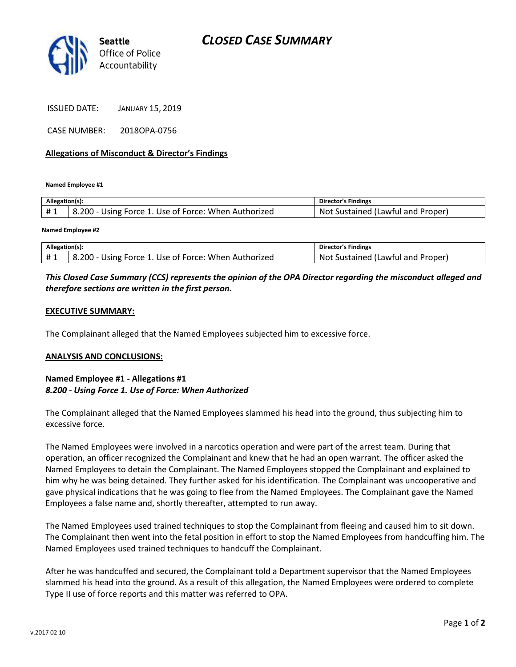

ISSUED DATE: JANUARY 15, 2019

CASE NUMBER: 2018OPA-0756

## **Allegations of Misconduct & Director's Findings**

**Named Employee #1**

| Allegation(s): |                                                      | Director's Findings               |
|----------------|------------------------------------------------------|-----------------------------------|
| #1             | 8.200 - Using Force 1. Use of Force: When Authorized | Not Sustained (Lawful and Proper) |
|                |                                                      |                                   |

**Named Employee #2**

| Allegation(s): |                                                      | Director's Findings               |
|----------------|------------------------------------------------------|-----------------------------------|
| #1             | 8.200 - Using Force 1. Use of Force: When Authorized | Not Sustained (Lawful and Proper) |

## *This Closed Case Summary (CCS) represents the opinion of the OPA Director regarding the misconduct alleged and therefore sections are written in the first person.*

#### **EXECUTIVE SUMMARY:**

The Complainant alleged that the Named Employees subjected him to excessive force.

#### **ANALYSIS AND CONCLUSIONS:**

## **Named Employee #1 - Allegations #1** *8.200 - Using Force 1. Use of Force: When Authorized*

The Complainant alleged that the Named Employees slammed his head into the ground, thus subjecting him to excessive force.

The Named Employees were involved in a narcotics operation and were part of the arrest team. During that operation, an officer recognized the Complainant and knew that he had an open warrant. The officer asked the Named Employees to detain the Complainant. The Named Employees stopped the Complainant and explained to him why he was being detained. They further asked for his identification. The Complainant was uncooperative and gave physical indications that he was going to flee from the Named Employees. The Complainant gave the Named Employees a false name and, shortly thereafter, attempted to run away.

The Named Employees used trained techniques to stop the Complainant from fleeing and caused him to sit down. The Complainant then went into the fetal position in effort to stop the Named Employees from handcuffing him. The Named Employees used trained techniques to handcuff the Complainant.

After he was handcuffed and secured, the Complainant told a Department supervisor that the Named Employees slammed his head into the ground. As a result of this allegation, the Named Employees were ordered to complete Type II use of force reports and this matter was referred to OPA.